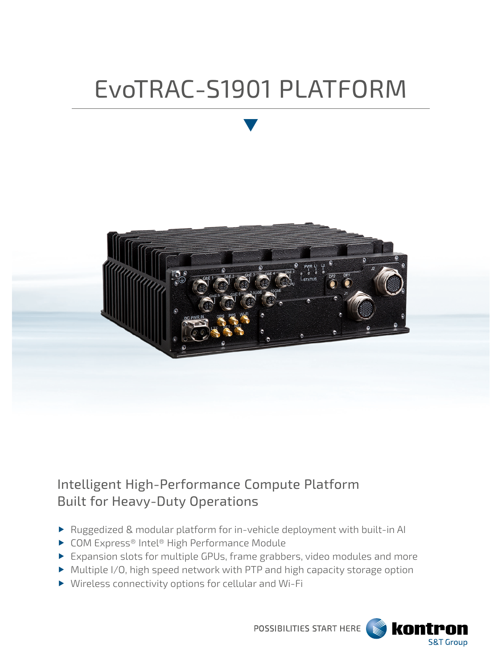# EvoTRAC-S1901 PLATFORM



# Intelligent High-Performance Compute Platform Built for Heavy-Duty Operations

- ▶ Ruggedized & modular platform for in-vehicle deployment with built-in AI
- ▶ COM Express® Intel® High Performance Module
- Expansion slots for multiple GPUs, frame grabbers, video modules and more
- Multiple I/O, high speed network with PTP and high capacity storage option
- Wireless connectivity options for cellular and Wi-Fi

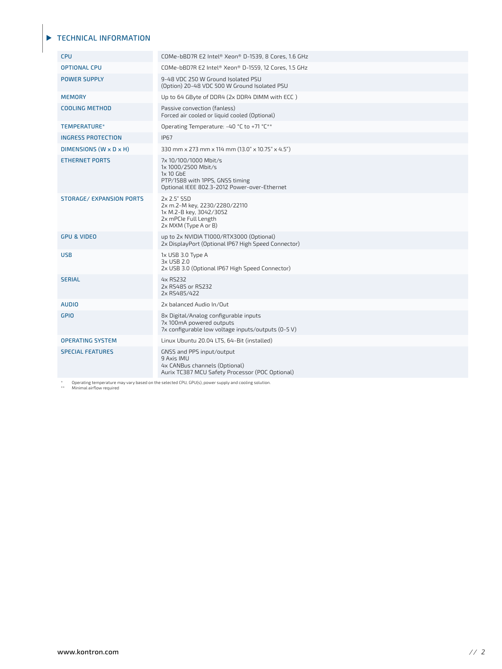#### **TECHNICAL INFORMATION**

| <b>CPU</b>                      | COMe-bBD7R E2 Intel® Xeon® D-1539, 8 Cores, 1.6 GHz                                                                                            |
|---------------------------------|------------------------------------------------------------------------------------------------------------------------------------------------|
| <b>OPTIONAL CPU</b>             | COMe-bBD7R E2 Intel® Xeon® D-1559, 12 Cores, 1.5 GHz                                                                                           |
| <b>POWER SUPPLY</b>             | 9-48 VDC 250 W Ground Isolated PSU<br>(Option) 20-48 VDC 500 W Ground Isolated PSU                                                             |
| <b>MEMORY</b>                   | Up to 64 GByte of DDR4 (2x DDR4 DIMM with ECC)                                                                                                 |
| <b>COOLING METHOD</b>           | Passive convection (fanless)<br>Forced air cooled or liquid cooled (Optional)                                                                  |
| TEMPERATURE*                    | Operating Temperature: -40 °C to +71 °C**                                                                                                      |
| <b>INGRESS PROTECTION</b>       | <b>IP67</b>                                                                                                                                    |
| DIMENSIONS (W x D x H)          | 330 mm x 273 mm x 114 mm (13.0" x 10.75" x 4.5")                                                                                               |
| <b>ETHERNET PORTS</b>           | 7x 10/100/1000 Mbit/s<br>1x 1000/2500 Mbit/s<br>$1x 10$ GbE<br>PTP/1588 with 1PPS, GNSS timing<br>Optional IEEE 802.3-2012 Power-over-Ethernet |
| <b>STORAGE/ EXPANSION PORTS</b> | 2x 2.5" SSD<br>2x m.2-M key, 2230/2280/22110<br>1x M.2-B key, 3042/3052<br>2x mPCle Full Length<br>2x MXM (Type A or B)                        |
| <b>GPU &amp; VIDEO</b>          | up to 2x NVIDIA T1000/RTX3000 (Optional)<br>2x DisplayPort (Optional IP67 High Speed Connector)                                                |
| <b>USB</b>                      | 1x USB 3.0 Type A<br>3x USB 2.0<br>2x USB 3.0 (Optional IP67 High Speed Connector)                                                             |
| <b>SERIAL</b>                   | 4x RS232<br>2x RS485 or RS232<br>2x RS485/422                                                                                                  |
| <b>AUDIO</b>                    | 2x balanced Audio In/Out                                                                                                                       |
| <b>GPIO</b>                     | 8x Digital/Analog configurable inputs<br>7x 100mA powered outputs<br>7x configurable low voltage inputs/outputs (0-5 V)                        |
| <b>OPERATING SYSTEM</b>         | Linux Ubuntu 20.04 LTS, 64-Bit (installed)                                                                                                     |
| <b>SPECIAL FEATURES</b>         | GNSS and PPS input/output<br>9 Axis IMU<br>4x CANBus channels (Optional)<br>Aurix TC387 MCU Safety Processor (POC Optional)                    |
|                                 |                                                                                                                                                |

\* Operating temperature may vary based on the selected CPU, GPU(s), power supply and cooling solution. \*\* Minimal airflow required